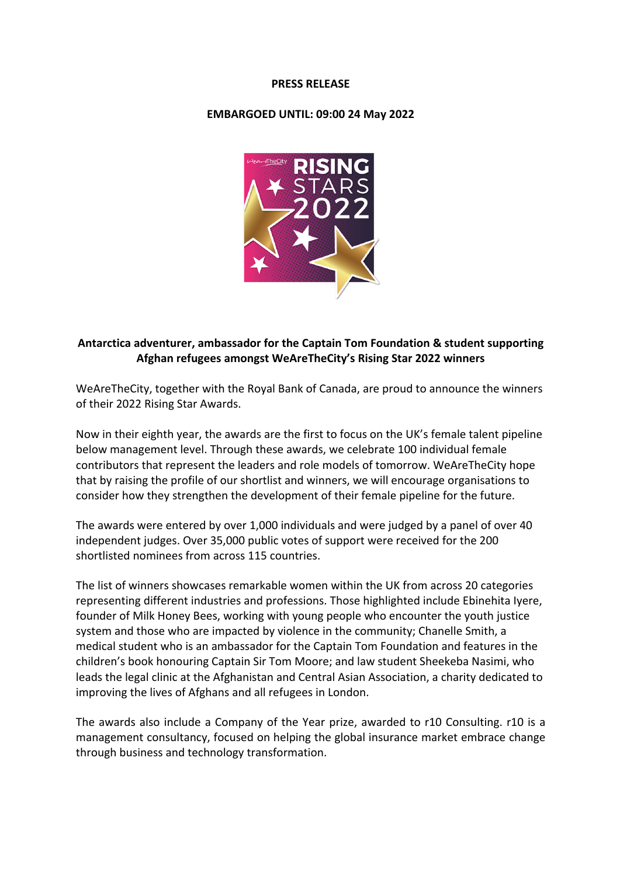#### **PRESS RELEASE**

#### **EMBARGOED UNTIL: 09:00 24 May 2022**



# **Antarctica adventurer, ambassador for the Captain Tom Foundation & student supporting Afghan refugees amongst WeAreTheCity's Rising Star 2022 winners**

WeAreTheCity, together with the Royal Bank of Canada, are proud to announce the winners of their 2022 Rising Star Awards.

Now in their eighth year, the awards are the first to focus on the UK's female talent pipeline below management level. Through these awards, we celebrate 100 individual female contributors that represent the leaders and role models of tomorrow. WeAreTheCity hope that by raising the profile of our shortlist and winners, we will encourage organisations to consider how they strengthen the development of their female pipeline for the future.

The awards were entered by over 1,000 individuals and were judged by a panel of over 40 independent judges. Over 35,000 public votes of support were received for the 200 shortlisted nominees from across 115 countries.

The list of winners showcases remarkable women within the UK from across 20 categories representing different industries and professions. Those highlighted include Ebinehita Iyere, founder of Milk Honey Bees, working with young people who encounter the youth justice system and those who are impacted by violence in the community; Chanelle Smith, a medical student who is an ambassador for the Captain Tom Foundation and features in the children's book honouring Captain Sir Tom Moore; and law student Sheekeba Nasimi, who leads the legal clinic at the Afghanistan and Central Asian Association, a charity dedicated to improving the lives of Afghans and all refugees in London.

The awards also include a Company of the Year prize, awarded to r10 Consulting. r10 is a management consultancy, focused on helping the global insurance market embrace change through business and technology transformation.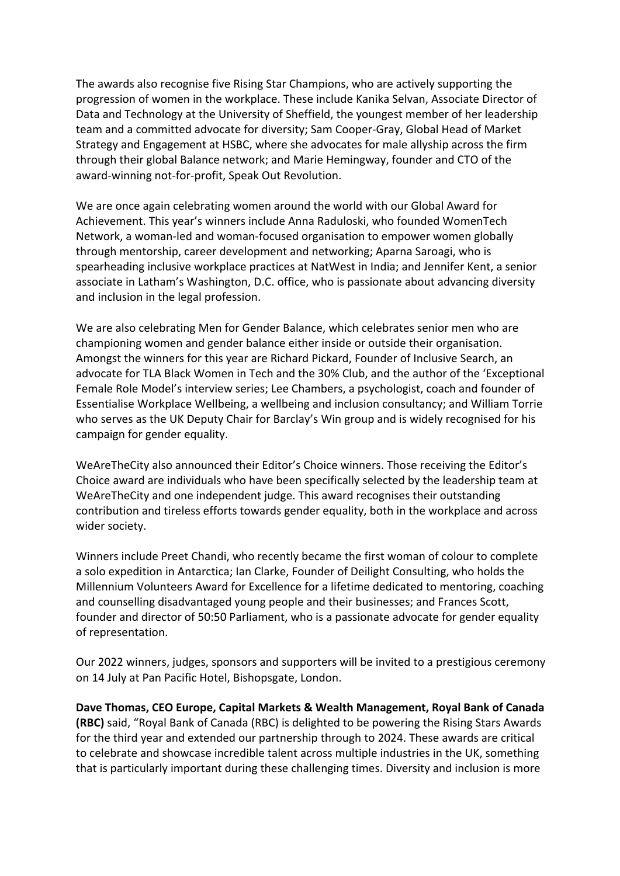The awards also recognise five Rising Star Champions, who are actively supporting the progression of women in the workplace. These include Kanika Selvan, Associate Director of Data and Technology at the University of Sheffield, the youngest member of her leadership team and a committed advocate for diversity; Sam Cooper-Gray, Global Head of Market Strategy and Engagement at HSBC, where she advocates for male allyship across the firm through their global Balance network; and Marie Hemingway, founder and CTO of the award-winning not-for-profit, Speak Out Revolution.

We are once again celebrating women around the world with our Global Award for Achievement. This year's winners include Anna Raduloski, who founded WomenTech Network, a woman-led and woman-focused organisation to empower women globally through mentorship, career development and networking; Aparna Saroagi, who is spearheading inclusive workplace practices at NatWest in India; and Jennifer Kent, a senior associate in Latham's Washington, D.C. office, who is passionate about advancing diversity and inclusion in the legal profession.

We are also celebrating Men for Gender Balance, which celebrates senior men who are championing women and gender balance either inside or outside their organisation. Amongst the winners for this year are Richard Pickard, Founder of Inclusive Search, an advocate for TLA Black Women in Tech and the 30% Club, and the author of the 'Exceptional Female Role Model's interview series; Lee Chambers, a psychologist, coach and founder of Essentialise Workplace Wellbeing, a wellbeing and inclusion consultancy; and William Torrie who serves as the UK Deputy Chair for Barclay's Win group and is widely recognised for his campaign for gender equality.

WeAreTheCity also announced their Editor's Choice winners. Those receiving the Editor's Choice award are individuals who have been specifically selected by the leadership team at WeAreTheCity and one independent judge. This award recognises their outstanding contribution and tireless efforts towards gender equality, both in the workplace and across wider society.

Winners include Preet Chandi, who recently became the first woman of colour to complete a solo expedition in Antarctica; Ian Clarke, Founder of Deilight Consulting, who holds the Millennium Volunteers Award for Excellence for a lifetime dedicated to mentoring, coaching and counselling disadvantaged young people and their businesses; and Frances Scott, founder and director of 50:50 Parliament, who is a passionate advocate for gender equality of representation.

Our 2022 winners, judges, sponsors and supporters will be invited to a prestigious ceremony on 14 July at Pan Pacific Hotel, Bishopsgate, London.

**Dave Thomas, CEO Europe, Capital Markets & Wealth Management, Royal Bank of Canada (RBC)** said, "Royal Bank of Canada (RBC) is delighted to be powering the Rising Stars Awards for the third year and extended our partnership through to 2024. These awards are critical to celebrate and showcase incredible talent across multiple industries in the UK, something that is particularly important during these challenging times. Diversity and inclusion is more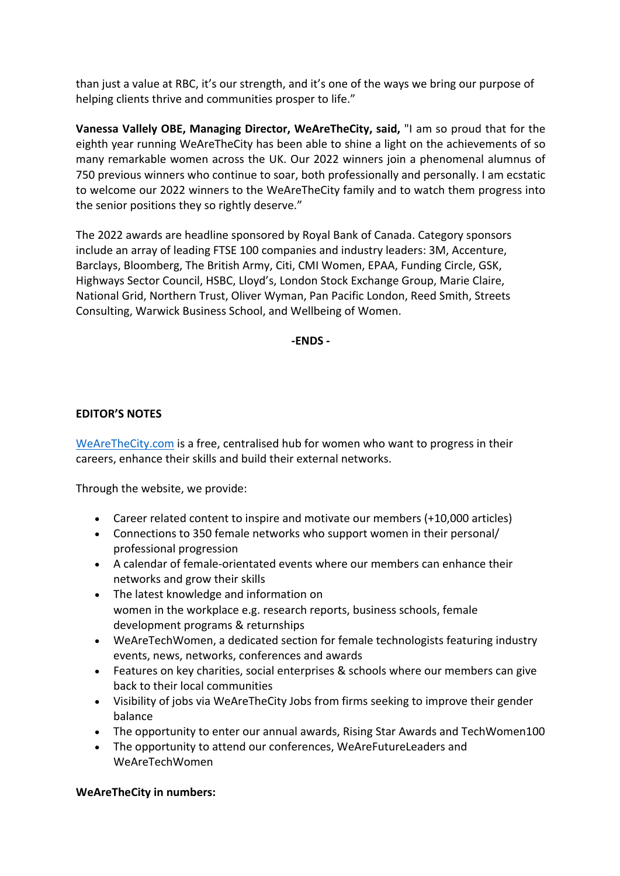than just a value at RBC, it's our strength, and it's one of the ways we bring our purpose of helping clients thrive and communities prosper to life."

**Vanessa Vallely OBE, Managing Director, WeAreTheCity, said,** "I am so proud that for the eighth year running WeAreTheCity has been able to shine a light on the achievements of so many remarkable women across the UK. Our 2022 winners join a phenomenal alumnus of 750 previous winners who continue to soar, both professionally and personally. I am ecstatic to welcome our 2022 winners to the WeAreTheCity family and to watch them progress into the senior positions they so rightly deserve."

The 2022 awards are headline sponsored by Royal Bank of Canada. Category sponsors include an array of leading FTSE 100 companies and industry leaders: 3M, Accenture, Barclays, Bloomberg, The British Army, Citi, CMI Women, EPAA, Funding Circle, GSK, Highways Sector Council, HSBC, Lloyd's, London Stock Exchange Group, Marie Claire, National Grid, Northern Trust, Oliver Wyman, Pan Pacific London, Reed Smith, Streets Consulting, Warwick Business School, and Wellbeing of Women.

**-ENDS -**

# **EDITOR'S NOTES**

WeAreTheCity.com is a free, centralised hub for women who want to progress in their careers, enhance their skills and build their external networks.

Through the website, we provide:

- Career related content to inspire and motivate our members (+10,000 articles)
- Connections to 350 female networks who support women in their personal/ professional progression
- A calendar of female-orientated events where our members can enhance their networks and grow their skills
- The latest knowledge and information on women in the workplace e.g. research reports, business schools, female development programs & returnships
- WeAreTechWomen, a dedicated section for female technologists featuring industry events, news, networks, conferences and awards
- Features on key charities, social enterprises & schools where our members can give back to their local communities
- Visibility of jobs via WeAreTheCity Jobs from firms seeking to improve their gender balance
- The opportunity to enter our annual awards, Rising Star Awards and TechWomen100
- The opportunity to attend our conferences, WeAreFutureLeaders and WeAreTechWomen

### **WeAreTheCity in numbers:**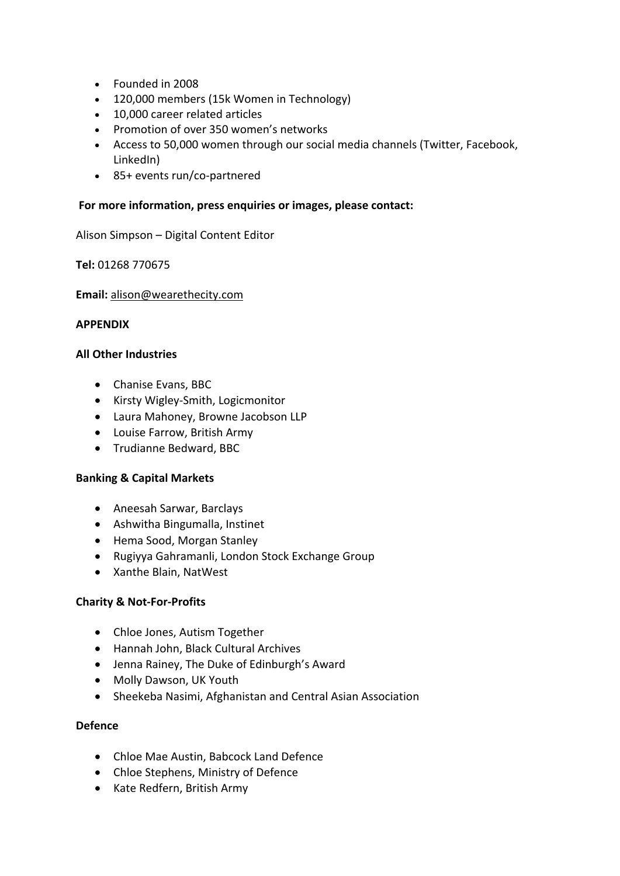- Founded in 2008
- 120,000 members (15k Women in Technology)
- 10,000 career related articles
- Promotion of over 350 women's networks
- Access to 50,000 women through our social media channels (Twitter, Facebook, LinkedIn)
- 85+ events run/co-partnered

## **For more information, press enquiries or images, please contact:**

Alison Simpson – Digital Content Editor

**Tel:** 01268 770675

### **Email:** alison@wearethecity.com

### **APPENDIX**

### **All Other Industries**

- Chanise Evans, BBC
- Kirsty Wigley-Smith, Logicmonitor
- Laura Mahoney, Browne Jacobson LLP
- Louise Farrow, British Army
- Trudianne Bedward, BBC

# **Banking & Capital Markets**

- Aneesah Sarwar, Barclays
- Ashwitha Bingumalla, Instinet
- Hema Sood, Morgan Stanley
- Rugiyya Gahramanli, London Stock Exchange Group
- Xanthe Blain, NatWest

### **Charity & Not-For-Profits**

- Chloe Jones, Autism Together
- Hannah John, Black Cultural Archives
- Jenna Rainey, The Duke of Edinburgh's Award
- Molly Dawson, UK Youth
- Sheekeba Nasimi, Afghanistan and Central Asian Association

## **Defence**

- Chloe Mae Austin, Babcock Land Defence
- Chloe Stephens, Ministry of Defence
- Kate Redfern, British Army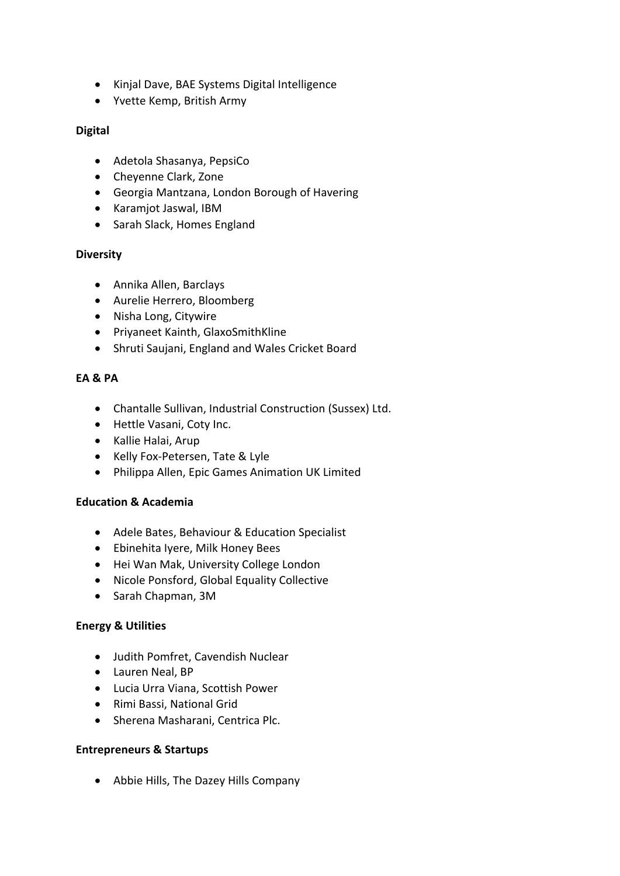- Kinjal Dave, BAE Systems Digital Intelligence
- Yvette Kemp, British Army

# **Digital**

- Adetola Shasanya, PepsiCo
- Cheyenne Clark, Zone
- Georgia Mantzana, London Borough of Havering
- Karamjot Jaswal, IBM
- Sarah Slack, Homes England

# **Diversity**

- Annika Allen, Barclays
- Aurelie Herrero, Bloomberg
- Nisha Long, Citywire
- Priyaneet Kainth, GlaxoSmithKline
- Shruti Saujani, England and Wales Cricket Board

# **EA & PA**

- Chantalle Sullivan, Industrial Construction (Sussex) Ltd.
- Hettle Vasani, Coty Inc.
- Kallie Halai, Arup
- Kelly Fox-Petersen, Tate & Lyle
- Philippa Allen, Epic Games Animation UK Limited

# **Education & Academia**

- Adele Bates, Behaviour & Education Specialist
- Ebinehita Iyere, Milk Honey Bees
- Hei Wan Mak, University College London
- Nicole Ponsford, Global Equality Collective
- Sarah Chapman, 3M

# **Energy & Utilities**

- Judith Pomfret, Cavendish Nuclear
- Lauren Neal, BP
- Lucia Urra Viana, Scottish Power
- Rimi Bassi, National Grid
- Sherena Masharani, Centrica Plc.

# **Entrepreneurs & Startups**

• Abbie Hills, The Dazey Hills Company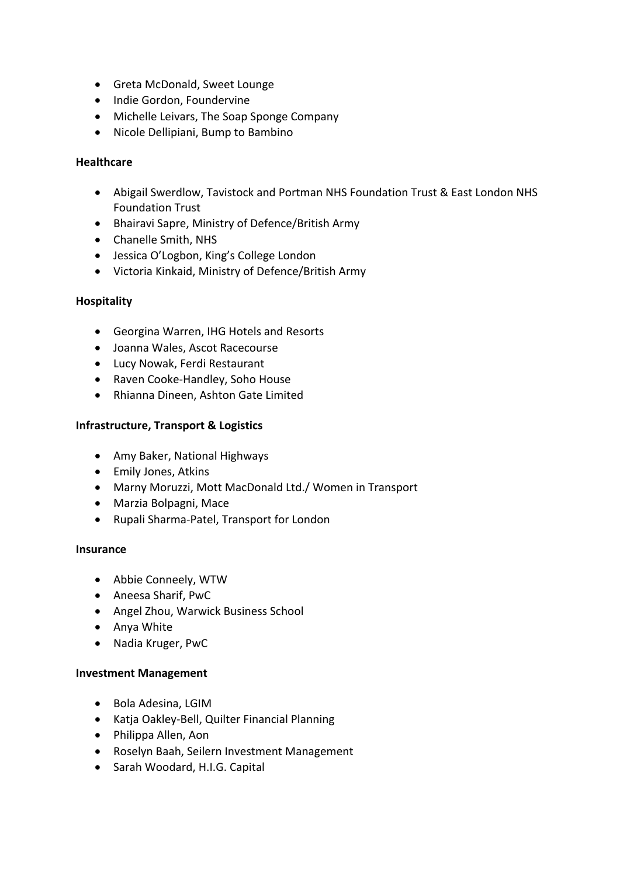- Greta McDonald, Sweet Lounge
- Indie Gordon, Foundervine
- Michelle Leivars, The Soap Sponge Company
- Nicole Dellipiani, Bump to Bambino

## **Healthcare**

- Abigail Swerdlow, Tavistock and Portman NHS Foundation Trust & East London NHS Foundation Trust
- Bhairavi Sapre, Ministry of Defence/British Army
- Chanelle Smith, NHS
- Jessica O'Logbon, King's College London
- Victoria Kinkaid, Ministry of Defence/British Army

### **Hospitality**

- Georgina Warren, IHG Hotels and Resorts
- Joanna Wales, Ascot Racecourse
- Lucy Nowak, Ferdi Restaurant
- Raven Cooke-Handley, Soho House
- Rhianna Dineen, Ashton Gate Limited

### **Infrastructure, Transport & Logistics**

- Amy Baker, National Highways
- Emily Jones, Atkins
- Marny Moruzzi, Mott MacDonald Ltd./ Women in Transport
- Marzia Bolpagni, Mace
- Rupali Sharma-Patel, Transport for London

### **Insurance**

- Abbie Conneely, WTW
- Aneesa Sharif, PwC
- Angel Zhou, Warwick Business School
- Anya White
- Nadia Kruger, PwC

### **Investment Management**

- Bola Adesina, LGIM
- Katja Oakley-Bell, Quilter Financial Planning
- Philippa Allen, Aon
- Roselyn Baah, Seilern Investment Management
- Sarah Woodard, H.I.G. Capital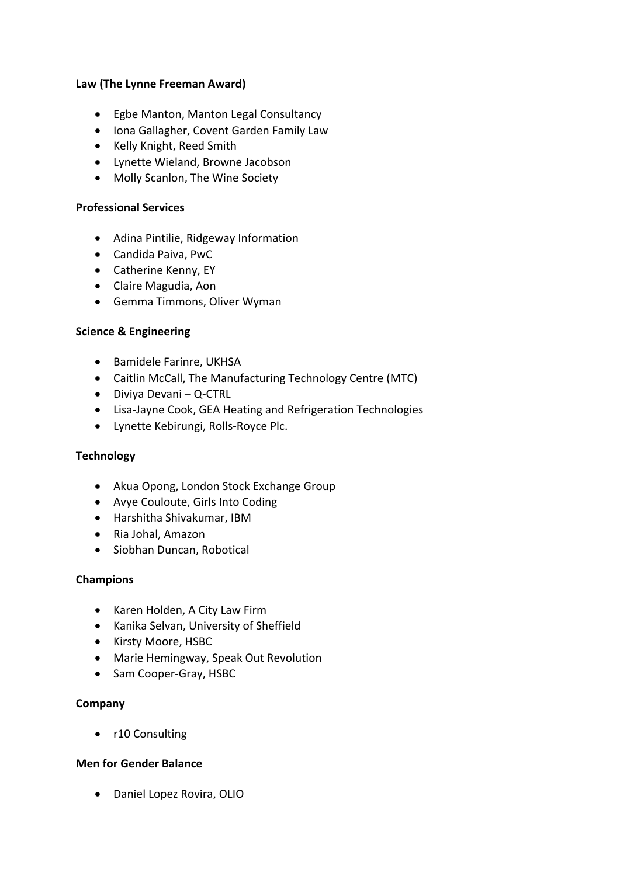### **Law (The Lynne Freeman Award)**

- Egbe Manton, Manton Legal Consultancy
- Iona Gallagher, Covent Garden Family Law
- Kelly Knight, Reed Smith
- Lynette Wieland, Browne Jacobson
- Molly Scanlon, The Wine Society

#### **Professional Services**

- Adina Pintilie, Ridgeway Information
- Candida Paiva, PwC
- Catherine Kenny, EY
- Claire Magudia, Aon
- Gemma Timmons, Oliver Wyman

#### **Science & Engineering**

- Bamidele Farinre, UKHSA
- Caitlin McCall, The Manufacturing Technology Centre (MTC)
- Diviya Devani Q-CTRL
- Lisa-Jayne Cook, GEA Heating and Refrigeration Technologies
- Lynette Kebirungi, Rolls-Royce Plc.

### **Technology**

- Akua Opong, London Stock Exchange Group
- Avye Couloute, Girls Into Coding
- Harshitha Shivakumar, IBM
- Ria Johal, Amazon
- Siobhan Duncan, Robotical

### **Champions**

- Karen Holden, A City Law Firm
- Kanika Selvan, University of Sheffield
- Kirsty Moore, HSBC
- Marie Hemingway, Speak Out Revolution
- Sam Cooper-Gray, HSBC

### **Company**

• r10 Consulting

### **Men for Gender Balance**

• Daniel Lopez Rovira, OLIO